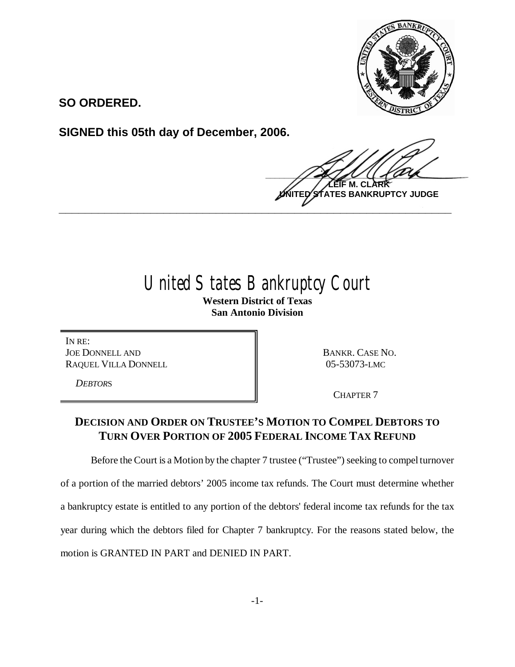

**SO ORDERED.**

**SIGNED this 05th day of December, 2006.**

 $\frac{1}{2}$ **M. ES BANKRUPTCY JUDGE \_\_\_\_\_\_\_\_\_\_\_\_\_\_\_\_\_\_\_\_\_\_\_\_\_\_\_\_\_\_\_\_\_\_\_\_\_\_\_\_\_\_\_\_\_\_\_\_\_\_\_\_\_\_\_\_\_\_\_\_**

# United States Bankruptcy Court

**Western District of Texas San Antonio Division**

IN RE: JOE DONNELL AND RAQUEL VILLA DONNELL

*DEBTOR*S

BANKR. CASE NO. 05-53073-LMC

CHAPTER 7

## **DECISION AND ORDER ON TRUSTEE'S MOTION TO COMPEL DEBTORS TO TURN OVER PORTION OF 2005 FEDERAL INCOME TAX REFUND**

Before the Court is a Motion by the chapter 7 trustee ("Trustee") seeking to compel turnover

of a portion of the married debtors'2005 income tax refunds. The Court must determine whether a bankruptcy estate is entitled to any portion of the debtors' federal income tax refunds for the tax year during which the debtors filed for Chapter 7 bankruptcy. For the reasons stated below, the motion is GRANTED IN PART and DENIED IN PART.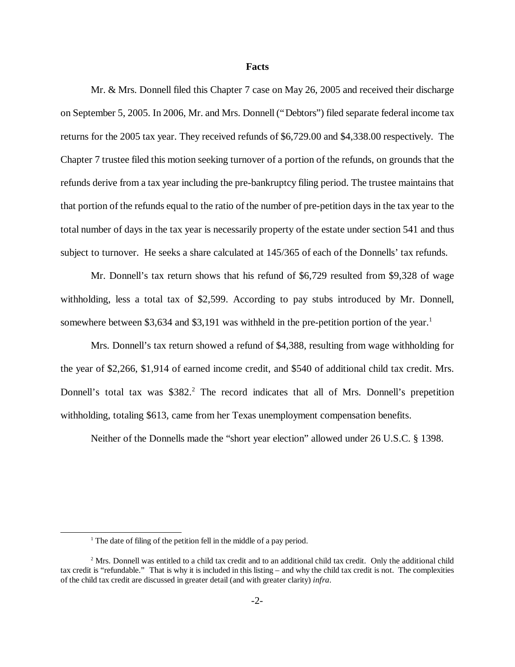#### **Facts**

Mr. & Mrs. Donnell filed this Chapter 7 case on May 26, 2005 and received their discharge on September 5, 2005. In 2006, Mr. and Mrs. Donnell ("Debtors") filed separate federal income tax returns for the 2005 tax year. They received refunds of \$6,729.00 and \$4,338.00 respectively. The Chapter 7 trustee filed this motion seeking turnover of a portion of the refunds, on grounds that the refunds derive from a tax year including the pre-bankruptcy filing period. The trustee maintains that that portion of the refunds equal to the ratio of the number of pre-petition days in the tax year to the total number of days in the tax year is necessarily property of the estate under section 541 and thus subject to turnover. He seeks a share calculated at 145/365 of each of the Donnells' tax refunds.

Mr. Donnell's tax return shows that his refund of \$6,729 resulted from \$9,328 of wage withholding, less a total tax of \$2,599. According to pay stubs introduced by Mr. Donnell, somewhere between \$3,634 and \$3,191 was withheld in the pre-petition portion of the year.<sup>1</sup>

Mrs. Donnell's tax return showed a refund of \$4,388, resulting from wage withholding for the year of \$2,266, \$1,914 of earned income credit, and \$540 of additional child tax credit. Mrs. Donnell's total tax was \$382<sup>2</sup>. The record indicates that all of Mrs. Donnell's prepetition withholding, totaling \$613, came from her Texas unemployment compensation benefits.

Neither of the Donnells made the "short year election" allowed under 26 U.S.C. § 1398.

<sup>&</sup>lt;sup>1</sup> The date of filing of the petition fell in the middle of a pay period.

<sup>&</sup>lt;sup>2</sup> Mrs. Donnell was entitled to a child tax credit and to an additional child tax credit. Only the additional child tax credit is "refundable." That is why it is included in this listing – and why the child tax credit is not. The complexities of the child tax credit are discussed in greater detail (and with greater clarity) *infra*.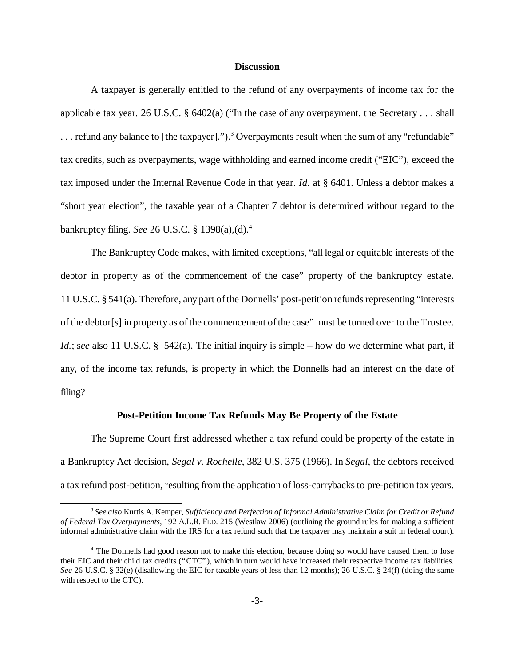#### **Discussion**

A taxpayer is generally entitled to the refund of any overpayments of income tax for the applicable tax year. 26 U.S.C. § 6402(a) ("In the case of any overpayment, the Secretary . . . shall  $\ldots$  refund any balance to [the taxpayer].").<sup>3</sup> Overpayments result when the sum of any "refundable" tax credits, such as overpayments, wage withholding and earned income credit ("EIC"), exceed the tax imposed under the Internal Revenue Code in that year. *Id.* at § 6401. Unless a debtor makes a "short year election", the taxable year of a Chapter 7 debtor is determined without regard to the bankruptcy filing. *See* 26 U.S.C. § 1398(a),(d).<sup>4</sup>

The Bankruptcy Code makes, with limited exceptions, "all legal or equitable interests of the debtor in property as of the commencement of the case" property of the bankruptcy estate. 11 U.S.C. § 541(a). Therefore, any part of the Donnells' post-petition refunds representing "interests" of the debtor[s] in property as of the commencement of the case"must be turned over to the Trustee. *Id.*; see also 11 U.S.C. § 542(a). The initial inquiry is simple – how do we determine what part, if any, of the income tax refunds, is property in which the Donnells had an interest on the date of filing?

#### **Post-Petition Income Tax Refunds May Be Property of the Estate**

The Supreme Court first addressed whether a tax refund could be property of the estate in a Bankruptcy Act decision, *Segal v. Rochelle*, 382 U.S. 375 (1966). In *Segal*, the debtors received a tax refund post-petition, resulting from the application of loss-carrybacks to pre-petition tax years.

<sup>3</sup> *See also* Kurtis A. Kemper, *Sufficiency and Perfection of Informal Administrative Claim for Credit or Refund of Federal Tax Overpayments*, 192 A.L.R. FED. 215 (Westlaw 2006) (outlining the ground rules for making a sufficient informal administrative claim with the IRS for a tax refund such that the taxpayer may maintain a suit in federal court).

<sup>4</sup> The Donnells had good reason not to make this election, because doing so would have caused them to lose their EIC and their child tax credits ("CTC"), which in turn would have increased their respective income tax liabilities. *See* 26 U.S.C. § 32(e) (disallowing the EIC for taxable years of less than 12 months); 26 U.S.C. § 24(f) (doing the same with respect to the CTC).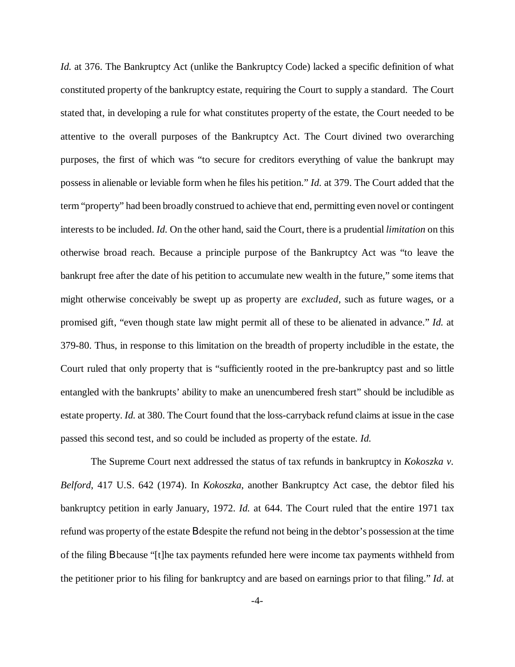*Id.* at 376. The Bankruptcy Act (unlike the Bankruptcy Code) lacked a specific definition of what constituted property of the bankruptcy estate, requiring the Court to supply a standard. The Court stated that, in developing a rule for what constitutes property of the estate, the Court needed to be attentive to the overall purposes of the Bankruptcy Act. The Court divined two overarching purposes, the first of which was "to secure for creditors everything of value the bankrupt may possess in alienable or leviable form when he files his petition."*Id.* at 379. The Court added that the term "property"had been broadly construed to achieve that end, permitting even novel or contingent interests to be included. *Id.* On the other hand, said the Court, there is a prudential *limitation* on this otherwise broad reach. Because a principle purpose of the Bankruptcy Act was "to leave the bankrupt free after the date of his petition to accumulate new wealth in the future," some items that might otherwise conceivably be swept up as property are *excluded*, such as future wages, or a promised gift, "even though state law might permit all of these to be alienated in advance." *Id.* at 379-80. Thus, in response to this limitation on the breadth of property includible in the estate, the Court ruled that only property that is "sufficiently rooted in the pre-bankruptcy past and so little entangled with the bankrupts' ability to make an unencumbered fresh start" should be includible as estate property. *Id.* at 380. The Court found that the loss-carryback refund claims at issue in the case passed this second test, and so could be included as property of the estate. *Id.*

The Supreme Court next addressed the status of tax refunds in bankruptcy in *Kokoszka v. Belford*, 417 U.S. 642 (1974). In *Kokoszka*, another Bankruptcy Act case, the debtor filed his bankruptcy petition in early January, 1972. *Id.* at 644. The Court ruled that the entire 1971 tax refund was property of the estate B despite the refund not being in the debtor's possession at the time of the filing B because "[t]he tax payments refunded here were income tax payments withheld from the petitioner prior to his filing for bankruptcy and are based on earnings prior to that filing."*Id.* at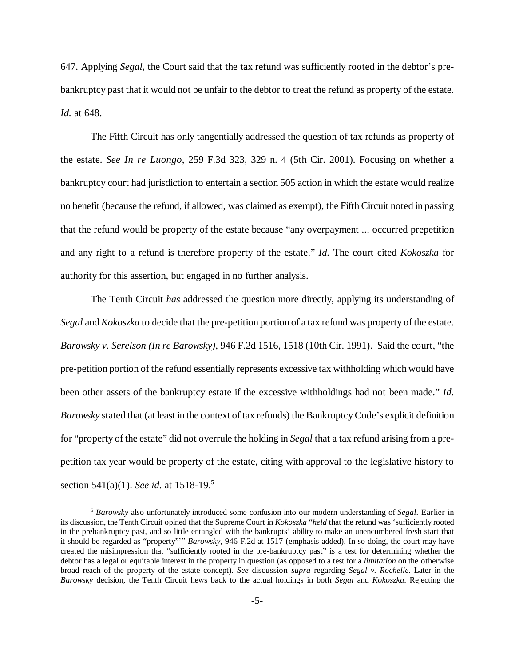647. Applying *Segal*, the Court said that the tax refund was sufficiently rooted in the debtor's prebankruptcy past that it would not be unfair to the debtor to treat the refund as property of the estate. *Id.* at 648.

The Fifth Circuit has only tangentially addressed the question of tax refunds as property of the estate. *See In re Luongo*, 259 F.3d 323, 329 n. 4 (5th Cir. 2001). Focusing on whether a bankruptcy court had jurisdiction to entertain a section 505 action in which the estate would realize no benefit (because the refund, if allowed, was claimed as exempt), the Fifth Circuit noted in passing that the refund would be property of the estate because "any overpayment ... occurred prepetition and any right to a refund is therefore property of the estate." *Id.* The court cited *Kokoszka* for authority for this assertion, but engaged in no further analysis.

The Tenth Circuit *has* addressed the question more directly, applying its understanding of *Segal* and *Kokoszka* to decide that the pre-petition portion of a tax refund was property of the estate. *Barowsky v. Serelson (In re Barowsky)*, 946 F.2d 1516, 1518 (10th Cir. 1991). Said the court, "the pre-petition portion of the refund essentially represents excessive tax withholding which would have been other assets of the bankruptcy estate if the excessive withholdings had not been made." *Id. Barowsky* stated that (at least in the context of tax refunds) the Bankruptcy Code's explicit definition for "property of the estate" did not overrule the holding in *Segal* that a tax refund arising from a prepetition tax year would be property of the estate, citing with approval to the legislative history to section 541(a)(1). *See id.* at 1518-19.5

<sup>5</sup> *Barowsky* also unfortunately introduced some confusion into our modern understanding of *Segal*. Earlier in its discussion, the Tenth Circuit opined that the Supreme Court in *Kokoszka* "*held* that the refund was 'sufficiently rooted in the prebankruptcy past, and so little entangled with the bankrupts'ability to make an unencumbered fresh start that it should be regarded as "property"'" *Barowsky*, 946 F.2d at 1517 (emphasis added). In so doing, the court may have created the misimpression that "sufficiently rooted in the pre-bankruptcy past" is a test for determining whether the debtor has a legal or equitable interest in the property in question (as opposed to a test for a *limitation* on the otherwise broad reach of the property of the estate concept). *See* discussion *supra* regarding *Segal v. Rochelle*. Later in the *Barowsky* decision, the Tenth Circuit hews back to the actual holdings in both *Segal* and *Kokoszka*. Rejecting the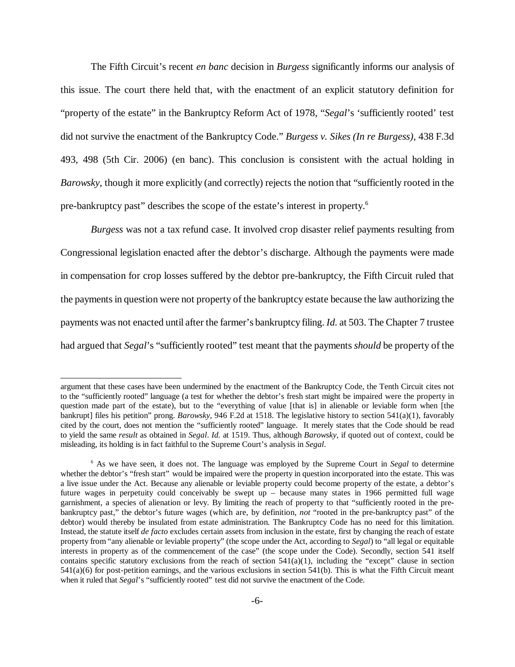The Fifth Circuit's recent *en banc* decision in *Burgess* significantly informs our analysis of this issue. The court there held that, with the enactment of an explicit statutory definition for "property of the estate" in the Bankruptcy Reform Act of 1978, "*Segal*'s 'sufficiently rooted' test did not survive the enactment of the Bankruptcy Code."*Burgess v. Sikes (In re Burgess)*, 438 F.3d 493, 498 (5th Cir. 2006) (en banc). This conclusion is consistent with the actual holding in *Barowsky*, though it more explicitly (and correctly) rejects the notion that "sufficiently rooted in the pre-bankruptcy past" describes the scope of the estate's interest in property.<sup>6</sup>

*Burgess* was not a tax refund case. It involved crop disaster relief payments resulting from Congressional legislation enacted after the debtor's discharge. Although the payments were made in compensation for crop losses suffered by the debtor pre-bankruptcy, the Fifth Circuit ruled that the payments in question were not property of the bankruptcy estate because the law authorizing the payments was not enacted until after the farmer's bankruptcy filing. *Id.* at 503. The Chapter 7 trustee had argued that *Segal*'s "sufficiently rooted" test meant that the payments *should* be property of the

argument that these cases have been undermined by the enactment of the Bankruptcy Code, the Tenth Circuit cites not to the "sufficiently rooted" language (a test for whether the debtor's fresh start might be impaired were the property in question made part of the estate), but to the "everything of value [that is] in alienable or leviable form when [the bankrupt] files his petition" prong. *Barowsky*, 946 F.2d at 1518. The legislative history to section 541(a)(1), favorably cited by the court, does not mention the "sufficiently rooted" language. It merely states that the Code should be read to yield the same *result* as obtained in *Segal*. *Id.* at 1519. Thus, although *Barowsky*, if quoted out of context, could be misleading, its holding is in fact faithful to the Supreme Court's analysis in *Segal*.

<sup>6</sup> As we have seen, it does not. The language was employed by the Supreme Court in *Segal* to determine whether the debtor's "fresh start" would be impaired were the property in question incorporated into the estate. This was a live issue under the Act. Because any alienable or leviable property could become property of the estate, a debtor's future wages in perpetuity could conceivably be swept up – because many states in 1966 permitted full wage garnishment, a species of alienation or levy. By limiting the reach of property to that "sufficiently rooted in the prebankruptcy past," the debtor's future wages (which are, by definition, *not* "rooted in the pre-bankruptcy past" of the debtor) would thereby be insulated from estate administration. The Bankruptcy Code has no need for this limitation. Instead, the statute itself *de facto* excludes certain assets from inclusion in the estate, first by changing the reach of estate property from "any alienable or leviable property" (the scope under the Act, according to *Segal*) to "all legal or equitable interests in property as of the commencement of the case" (the scope under the Code). Secondly, section 541 itself contains specific statutory exclusions from the reach of section  $541(a)(1)$ , including the "except" clause in section  $541(a)(6)$  for post-petition earnings, and the various exclusions in section  $541(b)$ . This is what the Fifth Circuit meant when it ruled that *Segal*'s "sufficiently rooted" test did not survive the enactment of the Code.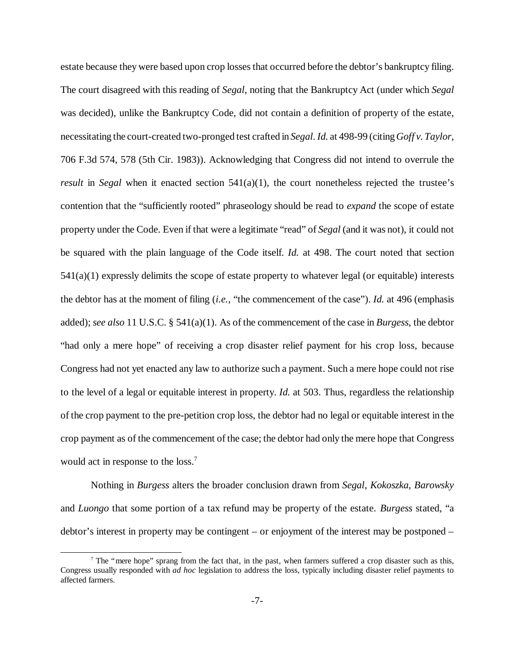estate because they were based upon crop losses that occurred before the debtor's bankruptcy filing. The court disagreed with this reading of *Segal*, noting that the Bankruptcy Act (under which *Segal* was decided), unlike the Bankruptcy Code, did not contain a definition of property of the estate, necessitating the court-created two-pronged test crafted in *Segal*.*Id.* at 498-99 (citing*Goff v.Taylor*, 706 F.3d 574, 578 (5th Cir. 1983)). Acknowledging that Congress did not intend to overrule the *result* in *Segal* when it enacted section 541(a)(1), the court nonetheless rejected the trustee's contention that the "sufficiently rooted" phraseology should be read to *expand* the scope of estate property under the Code. Even if that were a legitimate "read"of *Segal* (and it was not), it could not be squared with the plain language of the Code itself. *Id.* at 498. The court noted that section 541(a)(1) expressly delimits the scope of estate property to whatever legal (or equitable) interests the debtor has at the moment of filing (*i.e.*, "the commencement of the case"). *Id.* at 496 (emphasis added); *see also* 11 U.S.C. § 541(a)(1). As of the commencement of the case in *Burgess*, the debtor "had only a mere hope" of receiving a crop disaster relief payment for his crop loss, because Congress had not yet enacted any law to authorize such a payment. Such a mere hope could not rise to the level of a legal or equitable interest in property. *Id.* at 503. Thus, regardless the relationship of the crop payment to the pre-petition crop loss, the debtor had no legal or equitable interest in the crop payment as of the commencement of the case; the debtor had only the mere hope that Congress would act in response to the loss.<sup>7</sup>

Nothing in *Burgess* alters the broader conclusion drawn from *Segal*, *Kokoszka*, *Barowsky* and *Luongo* that some portion of a tax refund may be property of the estate. *Burgess* stated, "a debtor's interest in property may be contingent – or enjoyment of the interest may be postponed –

 $<sup>7</sup>$  The "mere hope" sprang from the fact that, in the past, when farmers suffered a crop disaster such as this,</sup> Congress usually responded with *ad hoc* legislation to address the loss, typically including disaster relief payments to affected farmers.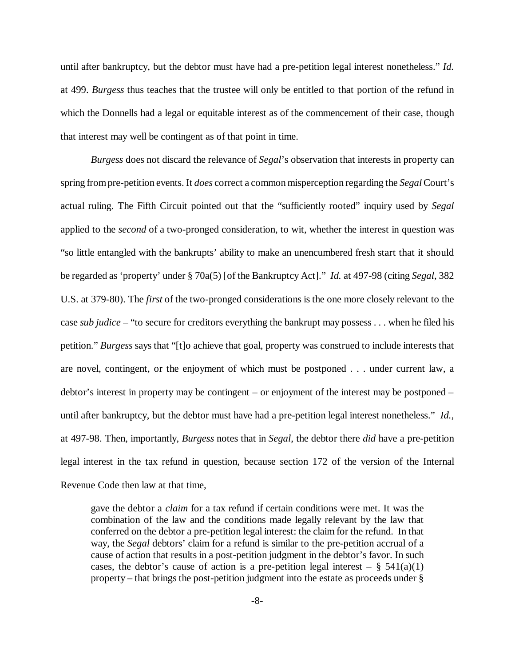until after bankruptcy, but the debtor must have had a pre-petition legal interest nonetheless." *Id.* at 499. *Burgess* thus teaches that the trustee will only be entitled to that portion of the refund in which the Donnells had a legal or equitable interest as of the commencement of their case, though that interest may well be contingent as of that point in time.

*Burgess* does not discard the relevance of *Segal*'s observation that interests in property can spring from pre-petition events. It *does* correct a common misperception regarding the *Segal*Court's actual ruling. The Fifth Circuit pointed out that the "sufficiently rooted" inquiry used by *Segal* applied to the *second* of a two-pronged consideration, to wit, whether the interest in question was "so little entangled with the bankrupts'ability to make an unencumbered fresh start that it should be regarded as 'property'under § 70a(5) [of the Bankruptcy Act]." *Id.* at 497-98 (citing *Segal*, 382 U.S. at 379-80). The *first* of the two-pronged considerations is the one more closely relevant to the case *sub judice* – "to secure for creditors everything the bankrupt may possess . . . when he filed his petition."*Burgess* says that "[t]o achieve that goal, property was construed to include interests that are novel, contingent, or the enjoyment of which must be postponed . . . under current law, a debtor's interest in property may be contingent – or enjoyment of the interest may be postponed – until after bankruptcy, but the debtor must have had a pre-petition legal interest nonetheless." *Id.*, at 497-98. Then, importantly, *Burgess* notes that in *Segal*, the debtor there *did* have a pre-petition legal interest in the tax refund in question, because section 172 of the version of the Internal Revenue Code then law at that time,

gave the debtor a *claim* for a tax refund if certain conditions were met. It was the combination of the law and the conditions made legally relevant by the law that conferred on the debtor a pre-petition legal interest: the claim for the refund. In that way, the *Segal* debtors' claim for a refund is similar to the pre-petition accrual of a cause of action that results in a post-petition judgment in the debtor's favor. In such cases, the debtor's cause of action is a pre-petition legal interest –  $\S$  541(a)(1) property – that brings the post-petition judgment into the estate as proceeds under §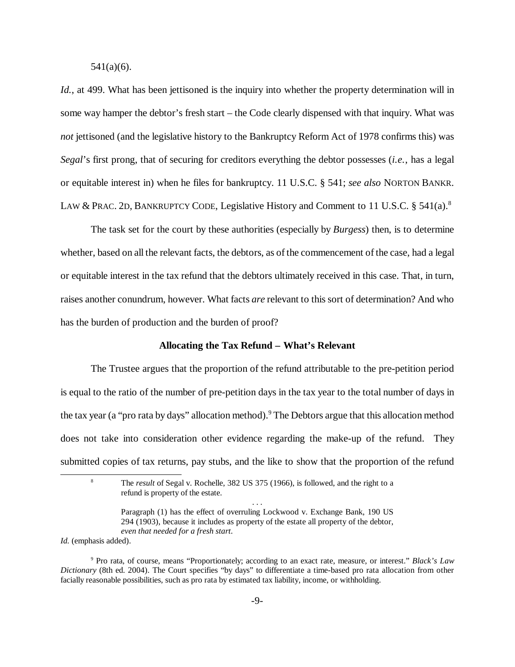541(a)(6).

*Id.*, at 499. What has been jettisoned is the inquiry into whether the property determination will in some way hamper the debtor's fresh start – the Code clearly dispensed with that inquiry. What was *not* jettisoned (and the legislative history to the Bankruptcy Reform Act of 1978 confirms this) was *Segal*'s first prong, that of securing for creditors everything the debtor possesses (*i.e.*, has a legal or equitable interest in) when he files for bankruptcy. 11 U.S.C. § 541; *see also* NORTON BANKR. LAW & PRAC. 2D, BANKRUPTCY CODE, Legislative History and Comment to 11 U.S.C. § 541(a).<sup>8</sup>

The task set for the court by these authorities (especially by *Burgess*) then, is to determine whether, based on all the relevant facts, the debtors, as of the commencement of the case, had a legal or equitable interest in the tax refund that the debtors ultimately received in this case. That, in turn, raises another conundrum, however. What facts *are* relevant to this sort of determination? And who has the burden of production and the burden of proof?

#### **Allocating the Tax Refund – What's Relevant**

The Trustee argues that the proportion of the refund attributable to the pre-petition period is equal to the ratio of the number of pre-petition days in the tax year to the total number of days in the tax year (a "pro rata by days" allocation method).<sup>9</sup> The Debtors argue that this allocation method does not take into consideration other evidence regarding the make-up of the refund. They submitted copies of tax returns, pay stubs, and the like to show that the proportion of the refund

*Id.* (emphasis added).

<sup>8</sup> The *result* of Segal v. Rochelle, 382 US 375 (1966), is followed, and the right to a refund is property of the estate. . . .

Paragraph (1) has the effect of overruling Lockwood v. Exchange Bank, 190 US 294 (1903), because it includes as property of the estate all property of the debtor, *even that needed for a fresh start*.

<sup>9</sup> Pro rata, of course, means "Proportionately; according to an exact rate, measure, or interest." *Black's Law Dictionary* (8th ed. 2004). The Court specifies "by days" to differentiate a time-based pro rata allocation from other facially reasonable possibilities, such as pro rata by estimated tax liability, income, or withholding.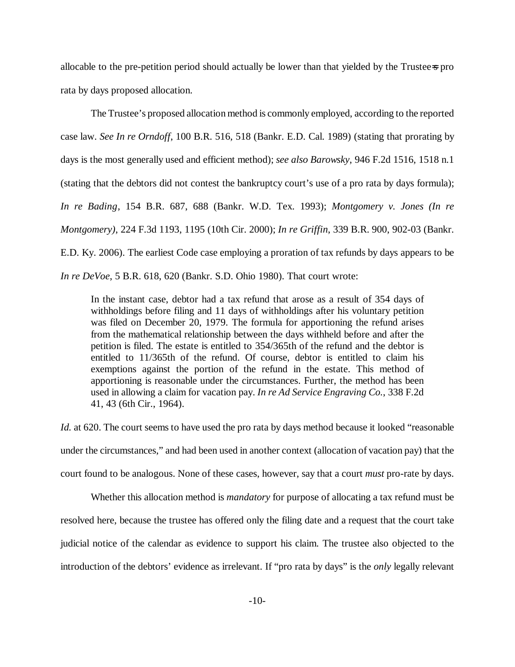allocable to the pre-petition period should actually be lower than that yielded by the Trustee=s pro rata by days proposed allocation.

The Trustee's proposed allocation method is commonly employed, according to the reported case law. *See In re Orndoff*, 100 B.R. 516, 518 (Bankr. E.D. Cal. 1989) (stating that prorating by days is the most generally used and efficient method); *see also Barowsky*, 946 F.2d 1516, 1518 n.1 (stating that the debtors did not contest the bankruptcy court's use of a pro rata by days formula); *In re Bading*, 154 B.R. 687, 688 (Bankr. W.D. Tex. 1993); *Montgomery v. Jones (In re Montgomery)*, 224 F.3d 1193, 1195 (10th Cir. 2000); *In re Griffin*, 339 B.R. 900, 902-03 (Bankr. E.D. Ky. 2006). The earliest Code case employing a proration of tax refunds by days appears to be *In re DeVoe*, 5 B.R. 618, 620 (Bankr. S.D. Ohio 1980). That court wrote:

In the instant case, debtor had a tax refund that arose as a result of 354 days of withholdings before filing and 11 days of withholdings after his voluntary petition was filed on December 20, 1979. The formula for apportioning the refund arises from the mathematical relationship between the days withheld before and after the petition is filed. The estate is entitled to 354/365th of the refund and the debtor is entitled to 11/365th of the refund. Of course, debtor is entitled to claim his exemptions against the portion of the refund in the estate. This method of apportioning is reasonable under the circumstances. Further, the method has been used in allowing a claim for vacation pay. *In re Ad Service Engraving Co.*, 338 F.2d 41, 43 (6th Cir., 1964).

*Id.* at 620. The court seems to have used the pro rata by days method because it looked "reasonable" under the circumstances,"and had been used in another context (allocation of vacation pay) that the court found to be analogous. None of these cases, however, say that a court *must* pro-rate by days.

Whether this allocation method is *mandatory* for purpose of allocating a tax refund must be resolved here, because the trustee has offered only the filing date and a request that the court take judicial notice of the calendar as evidence to support his claim. The trustee also objected to the introduction of the debtors' evidence as irrelevant. If "pro rata by days" is the *only* legally relevant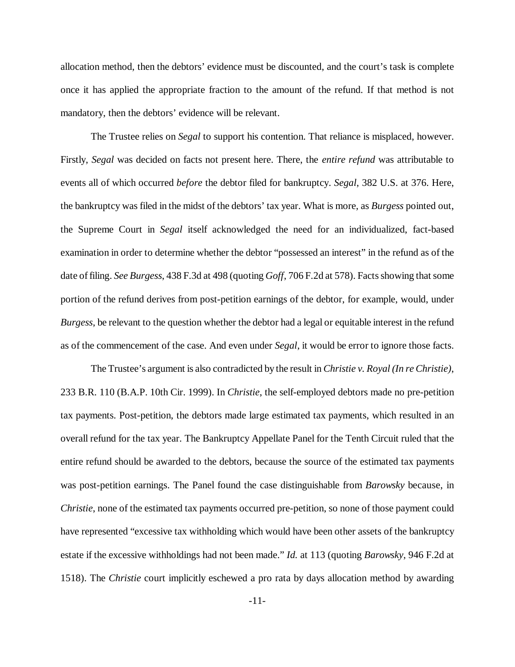allocation method, then the debtors'evidence must be discounted, and the court's task is complete once it has applied the appropriate fraction to the amount of the refund. If that method is not mandatory, then the debtors' evidence will be relevant.

The Trustee relies on *Segal* to support his contention. That reliance is misplaced, however. Firstly, *Segal* was decided on facts not present here. There, the *entire refund* was attributable to events all of which occurred *before* the debtor filed for bankruptcy. *Segal*, 382 U.S. at 376. Here, the bankruptcy was filed in the midst of the debtors'tax year. What is more, as *Burgess* pointed out, the Supreme Court in *Segal* itself acknowledged the need for an individualized, fact-based examination in order to determine whether the debtor "possessed an interest" in the refund as of the date of filing. *See Burgess*, 438 F.3d at 498 (quoting *Goff*, 706 F.2d at 578). Facts showing that some portion of the refund derives from post-petition earnings of the debtor, for example, would, under *Burgess*, be relevant to the question whether the debtor had a legal or equitable interest in the refund as of the commencement of the case. And even under *Segal*, it would be error to ignore those facts.

The Trustee's argument is also contradicted by the result in *Christie v. Royal (In re Christie)*, 233 B.R. 110 (B.A.P. 10th Cir. 1999). In *Christie*, the self-employed debtors made no pre-petition tax payments. Post-petition, the debtors made large estimated tax payments, which resulted in an overall refund for the tax year. The Bankruptcy Appellate Panel for the Tenth Circuit ruled that the entire refund should be awarded to the debtors, because the source of the estimated tax payments was post-petition earnings. The Panel found the case distinguishable from *Barowsky* because, in *Christie*, none of the estimated tax payments occurred pre-petition, so none of those payment could have represented "excessive tax withholding which would have been other assets of the bankruptcy estate if the excessive withholdings had not been made."*Id.* at 113 (quoting *Barowsky*, 946 F.2d at 1518). The *Christie* court implicitly eschewed a pro rata by days allocation method by awarding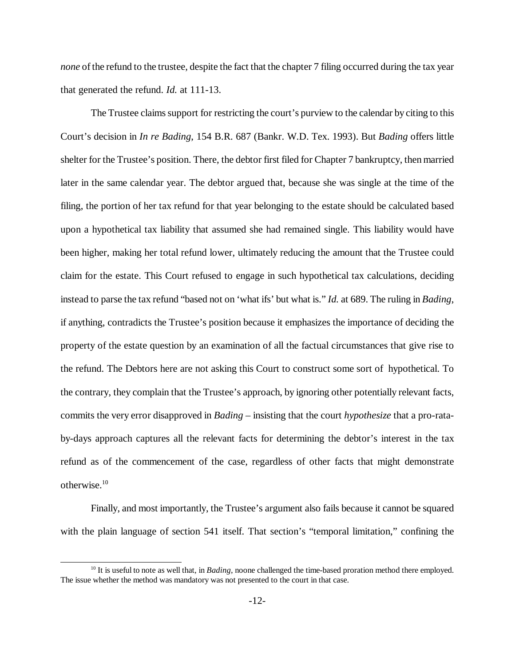*none* of the refund to the trustee, despite the fact that the chapter 7 filing occurred during the tax year that generated the refund. *Id.* at 111-13.

The Trustee claims support for restricting the court's purview to the calendar by citing to this Court's decision in *In re Bading*, 154 B.R. 687 (Bankr. W.D. Tex. 1993). But *Bading* offers little shelter for the Trustee's position. There, the debtor first filed for Chapter 7 bankruptcy, then married later in the same calendar year. The debtor argued that, because she was single at the time of the filing, the portion of her tax refund for that year belonging to the estate should be calculated based upon a hypothetical tax liability that assumed she had remained single. This liability would have been higher, making her total refund lower, ultimately reducing the amount that the Trustee could claim for the estate. This Court refused to engage in such hypothetical tax calculations, deciding instead to parse the tax refund "based not on 'what ifs'but what is."*Id.* at 689. The ruling in *Bading*, if anything, contradicts the Trustee's position because it emphasizes the importance of deciding the property of the estate question by an examination of all the factual circumstances that give rise to the refund. The Debtors here are not asking this Court to construct some sort of hypothetical. To the contrary, they complain that the Trustee's approach, by ignoring other potentially relevant facts, commits the very error disapproved in *Bading* – insisting that the court *hypothesize* that a pro-rataby-days approach captures all the relevant facts for determining the debtor's interest in the tax refund as of the commencement of the case, regardless of other facts that might demonstrate otherwise.<sup>10</sup>

Finally, and most importantly, the Trustee's argument also fails because it cannot be squared with the plain language of section 541 itself. That section's "temporal limitation," confining the

<sup>&</sup>lt;sup>10</sup> It is useful to note as well that, in *Bading*, noone challenged the time-based proration method there employed. The issue whether the method was mandatory was not presented to the court in that case.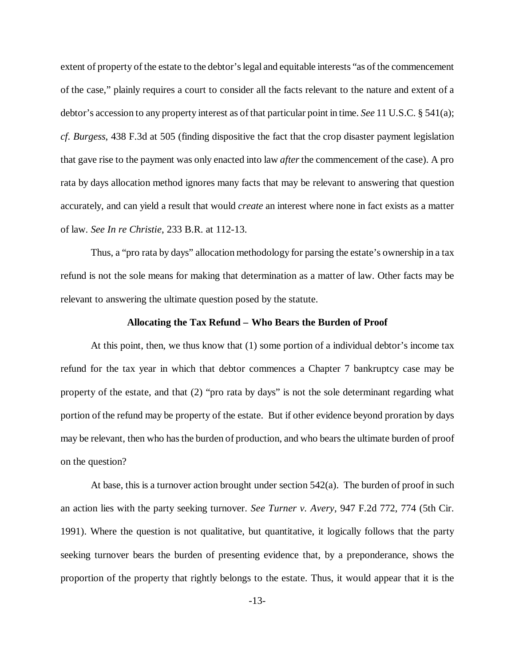extent of property of the estate to the debtor's legal and equitable interests "as of the commencement" of the case," plainly requires a court to consider all the facts relevant to the nature and extent of a debtor's accession to any property interest as of that particular point in time. *See* 11 U.S.C. § 541(a); *cf. Burgess*, 438 F.3d at 505 (finding dispositive the fact that the crop disaster payment legislation that gave rise to the payment was only enacted into law *after* the commencement of the case). A pro rata by days allocation method ignores many facts that may be relevant to answering that question accurately, and can yield a result that would *create* an interest where none in fact exists as a matter of law. *See In re Christie*, 233 B.R. at 112-13.

Thus, a "pro rata by days" allocation methodology for parsing the estate's ownership in a tax refund is not the sole means for making that determination as a matter of law. Other facts may be relevant to answering the ultimate question posed by the statute.

#### **Allocating the Tax Refund – Who Bears the Burden of Proof**

At this point, then, we thus know that (1) some portion of a individual debtor's income tax refund for the tax year in which that debtor commences a Chapter 7 bankruptcy case may be property of the estate, and that (2) "pro rata by days" is not the sole determinant regarding what portion of the refund may be property of the estate. But if other evidence beyond proration by days may be relevant, then who has the burden of production, and who bears the ultimate burden of proof on the question?

At base, this is a turnover action brought under section 542(a). The burden of proof in such an action lies with the party seeking turnover. *See Turner v. Avery*, 947 F.2d 772, 774 (5th Cir. 1991). Where the question is not qualitative, but quantitative, it logically follows that the party seeking turnover bears the burden of presenting evidence that, by a preponderance, shows the proportion of the property that rightly belongs to the estate. Thus, it would appear that it is the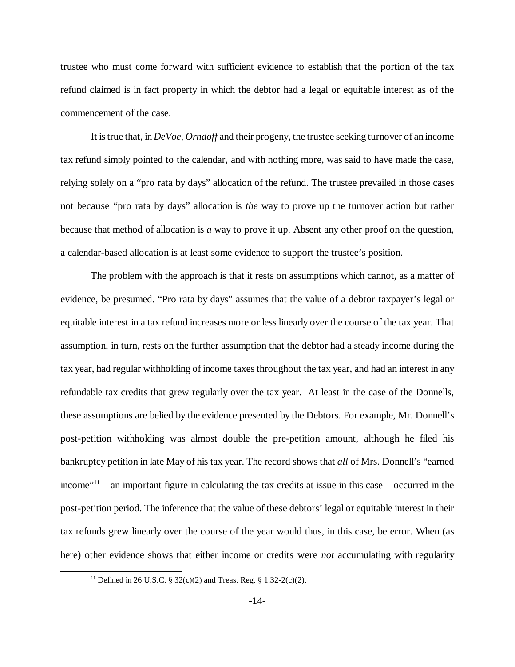trustee who must come forward with sufficient evidence to establish that the portion of the tax refund claimed is in fact property in which the debtor had a legal or equitable interest as of the commencement of the case.

It istrue that, in *DeVoe, Orndoff* and their progeny, the trustee seeking turnover of an income tax refund simply pointed to the calendar, and with nothing more, was said to have made the case, relying solely on a "pro rata by days" allocation of the refund. The trustee prevailed in those cases not because "pro rata by days" allocation is *the* way to prove up the turnover action but rather because that method of allocation is *a* way to prove it up. Absent any other proof on the question, a calendar-based allocation is at least some evidence to support the trustee's position.

The problem with the approach is that it rests on assumptions which cannot, as a matter of evidence, be presumed. "Pro rata by days" assumes that the value of a debtor taxpayer's legal or equitable interest in a tax refund increases more or less linearly over the course of the tax year. That assumption, in turn, rests on the further assumption that the debtor had a steady income during the tax year, had regular withholding of income taxes throughout the tax year, and had an interest in any refundable tax credits that grew regularly over the tax year. At least in the case of the Donnells, these assumptions are belied by the evidence presented by the Debtors. For example, Mr. Donnell's post-petition withholding was almost double the pre-petition amount, although he filed his bankruptcy petition in late May of his tax year. The record shows that *all* of Mrs. Donnell's "earned income<sup>"11</sup> – an important figure in calculating the tax credits at issue in this case – occurred in the post-petition period. The inference that the value of these debtors'legal or equitable interest in their tax refunds grew linearly over the course of the year would thus, in this case, be error. When (as here) other evidence shows that either income or credits were *not* accumulating with regularity

<sup>&</sup>lt;sup>11</sup> Defined in 26 U.S.C. § 32(c)(2) and Treas. Reg. § 1.32-2(c)(2).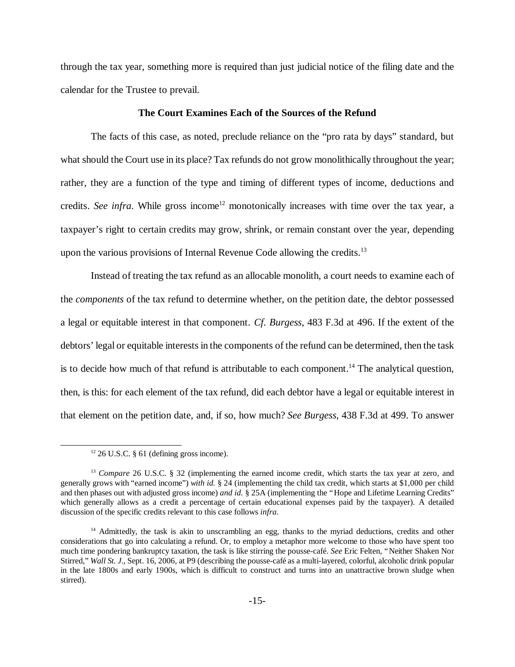through the tax year, something more is required than just judicial notice of the filing date and the calendar for the Trustee to prevail.

### **The Court Examines Each of the Sources of the Refund**

The facts of this case, as noted, preclude reliance on the "pro rata by days" standard, but what should the Court use in its place? Tax refunds do not grow monolithically throughout the year; rather, they are a function of the type and timing of different types of income, deductions and credits. *See infra*. While gross income<sup>12</sup> monotonically increases with time over the tax year, a taxpayer's right to certain credits may grow, shrink, or remain constant over the year, depending upon the various provisions of Internal Revenue Code allowing the credits.<sup>13</sup>

Instead of treating the tax refund as an allocable monolith, a court needs to examine each of the *components* of the tax refund to determine whether, on the petition date, the debtor possessed a legal or equitable interest in that component. *Cf. Burgess*, 483 F.3d at 496. If the extent of the debtors'legal or equitable interests in the components of the refund can be determined, then the task is to decide how much of that refund is attributable to each component.<sup>14</sup> The analytical question, then, is this: for each element of the tax refund, did each debtor have a legal or equitable interest in that element on the petition date, and, if so, how much? *See Burgess*, 438 F.3d at 499. To answer

 $12$  26 U.S.C. § 61 (defining gross income).

<sup>&</sup>lt;sup>13</sup> *Compare* 26 U.S.C. § 32 (implementing the earned income credit, which starts the tax year at zero, and generally grows with "earned income") *with id.* § 24 (implementing the child tax credit, which starts at \$1,000 per child and then phases out with adjusted gross income) *and id.* § 25A (implementing the "Hope and Lifetime Learning Credits" which generally allows as a credit a percentage of certain educational expenses paid by the taxpayer). A detailed discussion of the specific credits relevant to this case follows *infra*.

<sup>&</sup>lt;sup>14</sup> Admittedly, the task is akin to unscrambling an egg, thanks to the myriad deductions, credits and other considerations that go into calculating a refund. Or, to employ a metaphor more welcome to those who have spent too much time pondering bankruptcy taxation, the task is like stirring the pousse-café. *See* Eric Felten, "Neither Shaken Nor Stirred,"*Wall St. J*., Sept. 16, 2006, at P9 (describing the pousse-café as a multi-layered, colorful, alcoholic drink popular in the late 1800s and early 1900s, which is difficult to construct and turns into an unattractive brown sludge when stirred).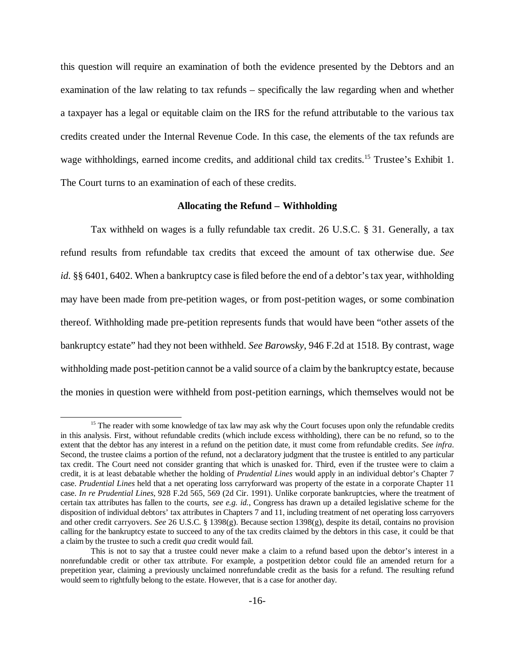this question will require an examination of both the evidence presented by the Debtors and an examination of the law relating to tax refunds – specifically the law regarding when and whether a taxpayer has a legal or equitable claim on the IRS for the refund attributable to the various tax credits created under the Internal Revenue Code. In this case, the elements of the tax refunds are wage withholdings, earned income credits, and additional child tax credits.<sup>15</sup> Trustee's Exhibit 1. The Court turns to an examination of each of these credits.

#### **Allocating the Refund – Withholding**

Tax withheld on wages is a fully refundable tax credit. 26 U.S.C. § 31. Generally, a tax refund results from refundable tax credits that exceed the amount of tax otherwise due. *See id.* §§ 6401, 6402. When a bankruptcy case is filed before the end of a debtor's tax year, withholding may have been made from pre-petition wages, or from post-petition wages, or some combination thereof. Withholding made pre-petition represents funds that would have been "other assets of the bankruptcy estate"had they not been withheld. *See Barowsky*, 946 F.2d at 1518. By contrast, wage withholding made post-petition cannot be a valid source of a claim by the bankruptcy estate, because the monies in question were withheld from post-petition earnings, which themselves would not be

<sup>&</sup>lt;sup>15</sup> The reader with some knowledge of tax law may ask why the Court focuses upon only the refundable credits in this analysis. First, without refundable credits (which include excess withholding), there can be no refund, so to the extent that the debtor has any interest in a refund on the petition date, it must come from refundable credits. *See infra*. Second, the trustee claims a portion of the refund, not a declaratory judgment that the trustee is entitled to any particular tax credit. The Court need not consider granting that which is unasked for. Third, even if the trustee were to claim a credit, it is at least debatable whether the holding of *Prudential Lines* would apply in an individual debtor's Chapter 7 case. *Prudential Lines* held that a net operating loss carryforward was property of the estate in a corporate Chapter 11 case. *In re Prudential Lines*, 928 F.2d 565, 569 (2d Cir. 1991). Unlike corporate bankruptcies, where the treatment of certain tax attributes has fallen to the courts, *see e.g. id.*, Congress has drawn up a detailed legislative scheme for the disposition of individual debtors' tax attributes in Chapters 7 and 11, including treatment of net operating loss carryovers and other credit carryovers. *See* 26 U.S.C. § 1398(g). Because section 1398(g), despite its detail, contains no provision calling for the bankruptcy estate to succeed to any of the tax credits claimed by the debtors in this case, it could be that a claim by the trustee to such a credit *qua* credit would fail.

This is not to say that a trustee could never make a claim to a refund based upon the debtor's interest in a nonrefundable credit or other tax attribute. For example, a postpetition debtor could file an amended return for a prepetition year, claiming a previously unclaimed nonrefundable credit as the basis for a refund. The resulting refund would seem to rightfully belong to the estate. However, that is a case for another day.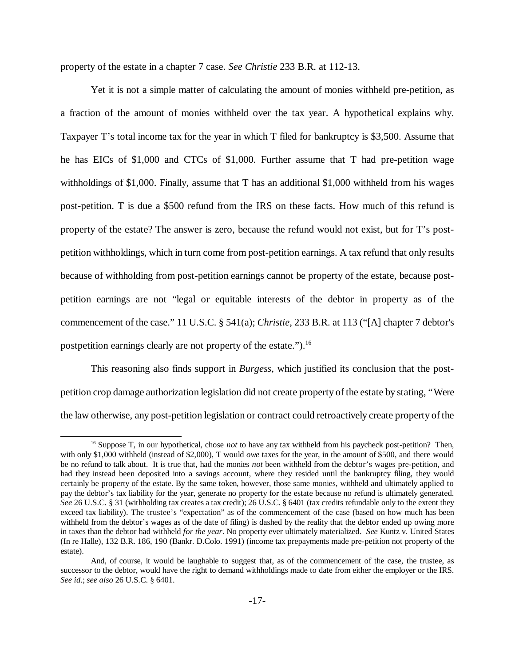property of the estate in a chapter 7 case. *See Christie* 233 B.R. at 112-13.

Yet it is not a simple matter of calculating the amount of monies withheld pre-petition, as a fraction of the amount of monies withheld over the tax year. A hypothetical explains why. Taxpayer T's total income tax for the year in which T filed for bankruptcy is \$3,500. Assume that he has EICs of \$1,000 and CTCs of \$1,000. Further assume that T had pre-petition wage withholdings of \$1,000. Finally, assume that T has an additional \$1,000 withheld from his wages post-petition. T is due a \$500 refund from the IRS on these facts. How much of this refund is property of the estate? The answer is zero, because the refund would not exist, but for T's postpetition withholdings, which in turn come from post-petition earnings. A tax refund that only results because of withholding from post-petition earnings cannot be property of the estate, because postpetition earnings are not "legal or equitable interests of the debtor in property as of the commencement of the case."11 U.S.C. § 541(a); *Christie*, 233 B.R. at 113 ("[A] chapter 7 debtor's postpetition earnings clearly are not property of the estate.").<sup>16</sup>

This reasoning also finds support in *Burgess*, which justified its conclusion that the postpetition crop damage authorization legislation did not create property of the estate by stating, "Were the law otherwise, any post-petition legislation or contract could retroactively create property of the

<sup>&</sup>lt;sup>16</sup> Suppose T, in our hypothetical, chose *not* to have any tax withheld from his paycheck post-petition? Then, with only \$1,000 withheld (instead of \$2,000), T would *owe* taxes for the year, in the amount of \$500, and there would be no refund to talk about. It is true that, had the monies *not* been withheld from the debtor's wages pre-petition, and had they instead been deposited into a savings account, where they resided until the bankruptcy filing, they would certainly be property of the estate. By the same token, however, those same monies, withheld and ultimately applied to pay the debtor's tax liability for the year, generate no property for the estate because no refund is ultimately generated. *See* 26 U.S.C. § 31 (withholding tax creates a tax credit); 26 U.S.C. § 6401 (tax credits refundable only to the extent they exceed tax liability). The trustee's "expectation" as of the commencement of the case (based on how much has been withheld from the debtor's wages as of the date of filing) is dashed by the reality that the debtor ended up owing more in taxes than the debtor had withheld *for the year*. No property ever ultimately materialized. *See* Kuntz v. United States (In re Halle), 132 B.R. 186, 190 (Bankr. D.Colo. 1991) (income tax prepayments made pre-petition not property of the estate).

And, of course, it would be laughable to suggest that, as of the commencement of the case, the trustee, as successor to the debtor, would have the right to demand withholdings made to date from either the employer or the IRS. *See id*.; *see also* 26 U.S.C. § 6401.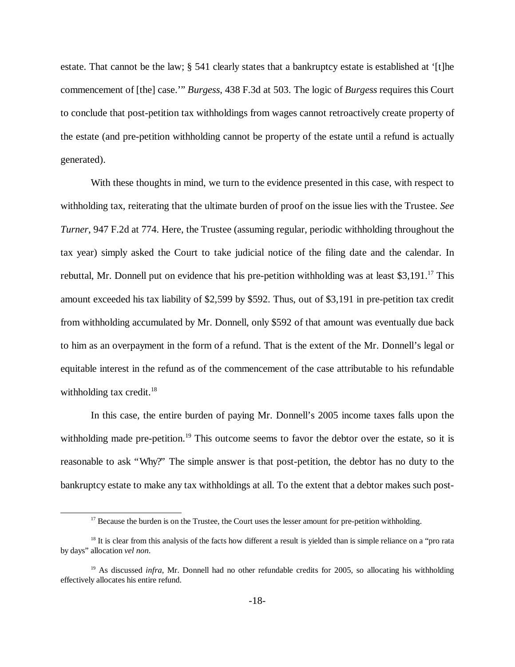estate. That cannot be the law; § 541 clearly states that a bankruptcy estate is established at '[t]he commencement of [the] case.'"*Burgess*, 438 F.3d at 503. The logic of *Burgess* requires this Court to conclude that post-petition tax withholdings from wages cannot retroactively create property of the estate (and pre-petition withholding cannot be property of the estate until a refund is actually generated).

With these thoughts in mind, we turn to the evidence presented in this case, with respect to withholding tax, reiterating that the ultimate burden of proof on the issue lies with the Trustee. *See Turner*, 947 F.2d at 774. Here, the Trustee (assuming regular, periodic withholding throughout the tax year) simply asked the Court to take judicial notice of the filing date and the calendar. In rebuttal, Mr. Donnell put on evidence that his pre-petition withholding was at least  $$3,191$ .<sup>17</sup> This amount exceeded his tax liability of \$2,599 by \$592. Thus, out of \$3,191 in pre-petition tax credit from withholding accumulated by Mr. Donnell, only \$592 of that amount was eventually due back to him as an overpayment in the form of a refund. That is the extent of the Mr. Donnell's legal or equitable interest in the refund as of the commencement of the case attributable to his refundable withholding tax credit. $18$ 

In this case, the entire burden of paying Mr. Donnell's 2005 income taxes falls upon the withholding made pre-petition.<sup>19</sup> This outcome seems to favor the debtor over the estate, so it is reasonable to ask "Why?" The simple answer is that post-petition, the debtor has no duty to the bankruptcy estate to make any tax withholdings at all. To the extent that a debtor makes such post-

 $17$  Because the burden is on the Trustee, the Court uses the lesser amount for pre-petition withholding.

 $18$  It is clear from this analysis of the facts how different a result is yielded than is simple reliance on a "pro rata" by days" allocation *vel non*.

<sup>&</sup>lt;sup>19</sup> As discussed *infra*, Mr. Donnell had no other refundable credits for 2005, so allocating his withholding effectively allocates his entire refund.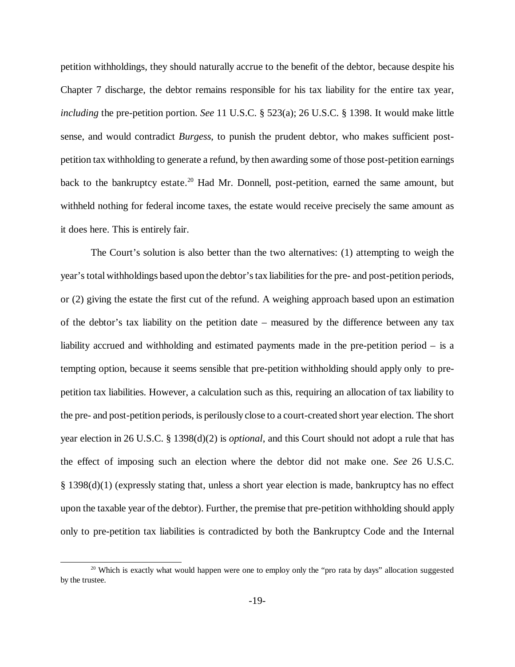petition withholdings, they should naturally accrue to the benefit of the debtor, because despite his Chapter 7 discharge, the debtor remains responsible for his tax liability for the entire tax year, *including* the pre-petition portion. *See* 11 U.S.C. § 523(a); 26 U.S.C. § 1398. It would make little sense, and would contradict *Burgess*, to punish the prudent debtor, who makes sufficient postpetition tax withholding to generate a refund, by then awarding some of those post-petition earnings back to the bankruptcy estate.<sup>20</sup> Had Mr. Donnell, post-petition, earned the same amount, but withheld nothing for federal income taxes, the estate would receive precisely the same amount as it does here. This is entirely fair.

The Court's solution is also better than the two alternatives: (1) attempting to weigh the year's total withholdings based upon the debtor'stax liabilitiesfor the pre- and post-petition periods, or (2) giving the estate the first cut of the refund. A weighing approach based upon an estimation of the debtor's tax liability on the petition date – measured by the difference between any tax liability accrued and withholding and estimated payments made in the pre-petition period – is a tempting option, because it seems sensible that pre-petition withholding should apply only to prepetition tax liabilities. However, a calculation such as this, requiring an allocation of tax liability to the pre- and post-petition periods, is perilously close to a court-created short year election. The short year election in 26 U.S.C. § 1398(d)(2) is *optional*, and this Court should not adopt a rule that has the effect of imposing such an election where the debtor did not make one. *See* 26 U.S.C. § 1398(d)(1) (expressly stating that, unless a short year election is made, bankruptcy has no effect upon the taxable year of the debtor). Further, the premise that pre-petition withholding should apply only to pre-petition tax liabilities is contradicted by both the Bankruptcy Code and the Internal

<sup>&</sup>lt;sup>20</sup> Which is exactly what would happen were one to employ only the "pro rata by days" allocation suggested by the trustee.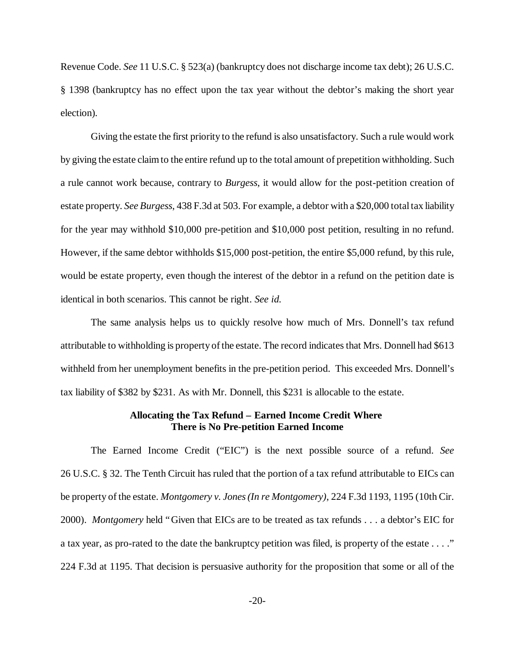Revenue Code. *See* 11 U.S.C. § 523(a) (bankruptcy does not discharge income tax debt); 26 U.S.C. § 1398 (bankruptcy has no effect upon the tax year without the debtor's making the short year election)*.*

Giving the estate the first priority to the refund is also unsatisfactory. Such a rule would work by giving the estate claim to the entire refund up to the total amount of prepetition withholding. Such a rule cannot work because, contrary to *Burgess*, it would allow for the post-petition creation of estate property. *See Burgess*, 438 F.3d at 503. For example, a debtor with a \$20,000 total tax liability for the year may withhold \$10,000 pre-petition and \$10,000 post petition, resulting in no refund. However, if the same debtor withholds \$15,000 post-petition, the entire \$5,000 refund, by this rule, would be estate property, even though the interest of the debtor in a refund on the petition date is identical in both scenarios. This cannot be right. *See id.*

The same analysis helps us to quickly resolve how much of Mrs. Donnell's tax refund attributable to withholding is property of the estate. The record indicates that Mrs. Donnell had \$613 withheld from her unemployment benefits in the pre-petition period. This exceeded Mrs. Donnell's tax liability of \$382 by \$231. As with Mr. Donnell, this \$231 is allocable to the estate.

#### **Allocating the Tax Refund – Earned Income Credit Where There is No Pre-petition Earned Income**

The Earned Income Credit ("EIC") is the next possible source of a refund. *See* 26 U.S.C. § 32. The Tenth Circuit has ruled that the portion of a tax refund attributable to EICs can be property of the estate. *Montgomery v. Jones(In re Montgomery)*, 224 F.3d 1193, 1195 (10th Cir. 2000). *Montgomery* held "Given that EICs are to be treated as tax refunds . . . a debtor's EIC for a tax year, as pro-rated to the date the bankruptcy petition was filed, is property of the estate . . . ." 224 F.3d at 1195. That decision is persuasive authority for the proposition that some or all of the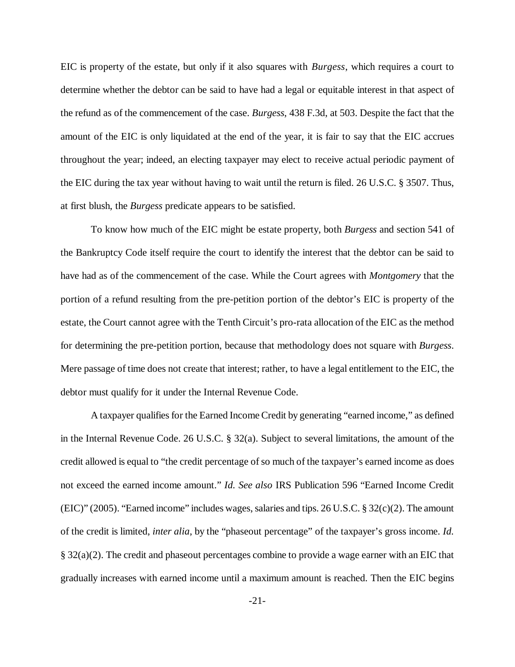EIC is property of the estate, but only if it also squares with *Burgess*, which requires a court to determine whether the debtor can be said to have had a legal or equitable interest in that aspect of the refund as of the commencement of the case. *Burgess*, 438 F.3d, at 503. Despite the fact that the amount of the EIC is only liquidated at the end of the year, it is fair to say that the EIC accrues throughout the year; indeed, an electing taxpayer may elect to receive actual periodic payment of the EIC during the tax year without having to wait until the return is filed. 26 U.S.C. § 3507. Thus, at first blush, the *Burgess* predicate appears to be satisfied.

To know how much of the EIC might be estate property, both *Burgess* and section 541 of the Bankruptcy Code itself require the court to identify the interest that the debtor can be said to have had as of the commencement of the case. While the Court agrees with *Montgomery* that the portion of a refund resulting from the pre-petition portion of the debtor's EIC is property of the estate, the Court cannot agree with the Tenth Circuit's pro-rata allocation of the EIC as the method for determining the pre-petition portion, because that methodology does not square with *Burgess*. Mere passage of time does not create that interest; rather, to have a legal entitlement to the EIC, the debtor must qualify for it under the Internal Revenue Code.

A taxpayer qualifies for the Earned Income Credit by generating "earned income,"as defined in the Internal Revenue Code. 26 U.S.C. § 32(a). Subject to several limitations, the amount of the credit allowed is equal to "the credit percentage of so much of the taxpayer's earned income as does not exceed the earned income amount." *Id. See also* IRS Publication 596 "Earned Income Credit (EIC)" (2005). "Earned income" includes wages, salaries and tips. 26 U.S.C.  $\S 32(c)(2)$ . The amount of the credit is limited, *inter alia*, by the "phaseout percentage" of the taxpayer's gross income. *Id.* § 32(a)(2). The credit and phaseout percentages combine to provide a wage earner with an EIC that gradually increases with earned income until a maximum amount is reached. Then the EIC begins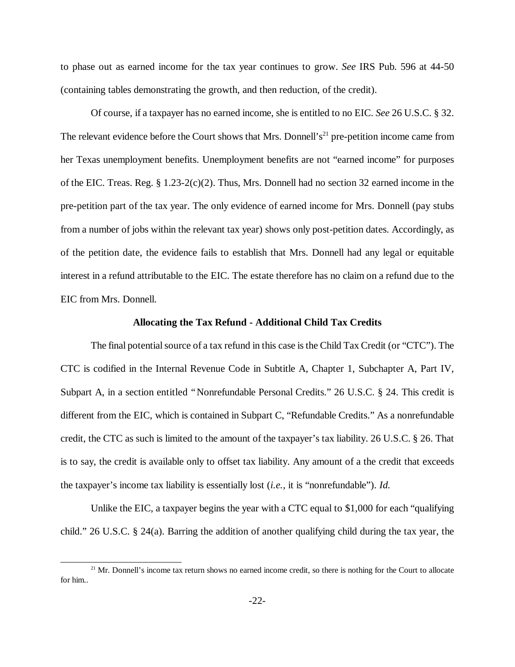to phase out as earned income for the tax year continues to grow. *See* IRS Pub. 596 at 44-50 (containing tables demonstrating the growth, and then reduction, of the credit).

Of course, if a taxpayer has no earned income, she is entitled to no EIC. *See* 26 U.S.C. § 32. The relevant evidence before the Court shows that Mrs. Donnell's<sup>21</sup> pre-petition income came from her Texas unemployment benefits. Unemployment benefits are not "earned income" for purposes of the EIC. Treas. Reg.  $\S 1.23-2(c)(2)$ . Thus, Mrs. Donnell had no section 32 earned income in the pre-petition part of the tax year. The only evidence of earned income for Mrs. Donnell (pay stubs from a number of jobs within the relevant tax year) shows only post-petition dates. Accordingly, as of the petition date, the evidence fails to establish that Mrs. Donnell had any legal or equitable interest in a refund attributable to the EIC. The estate therefore has no claim on a refund due to the EIC from Mrs. Donnell.

#### **Allocating the Tax Refund - Additional Child Tax Credits**

The final potential source of a tax refund in this case is the Child Tax Credit (or "CTC"). The CTC is codified in the Internal Revenue Code in Subtitle A, Chapter 1, Subchapter A, Part IV, Subpart A, in a section entitled "Nonrefundable Personal Credits." 26 U.S.C. § 24. This credit is different from the EIC, which is contained in Subpart C, "Refundable Credits."As a nonrefundable credit, the CTC as such is limited to the amount of the taxpayer's tax liability. 26 U.S.C. § 26. That is to say, the credit is available only to offset tax liability. Any amount of a the credit that exceeds the taxpayer's income tax liability is essentially lost (*i.e.*, it is "nonrefundable"). *Id.*

Unlike the EIC, a taxpayer begins the year with a CTC equal to \$1,000 for each "qualifying child." 26 U.S.C. § 24(a). Barring the addition of another qualifying child during the tax year, the

<sup>&</sup>lt;sup>21</sup> Mr. Donnell's income tax return shows no earned income credit, so there is nothing for the Court to allocate for him..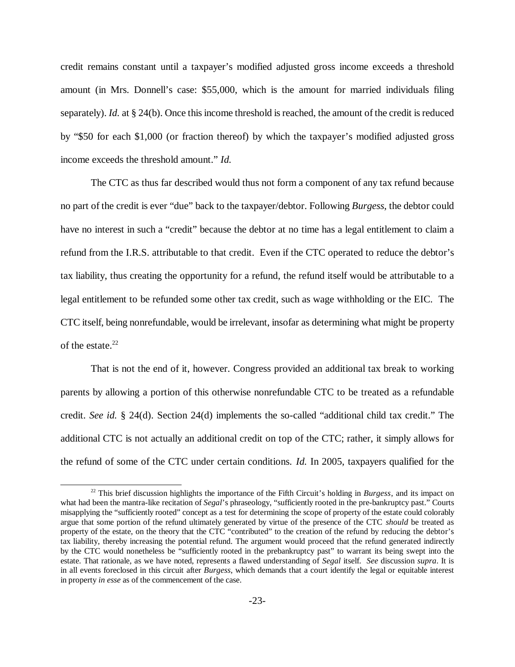credit remains constant until a taxpayer's modified adjusted gross income exceeds a threshold amount (in Mrs. Donnell's case: \$55,000, which is the amount for married individuals filing separately). *Id.* at § 24(b). Once this income threshold is reached, the amount of the credit is reduced by "\$50 for each \$1,000 (or fraction thereof) by which the taxpayer's modified adjusted gross income exceeds the threshold amount." *Id.* 

The CTC as thus far described would thus not form a component of any tax refund because no part of the credit is ever "due"back to the taxpayer/debtor. Following *Burgess*, the debtor could have no interest in such a "credit" because the debtor at no time has a legal entitlement to claim a refund from the I.R.S. attributable to that credit. Even if the CTC operated to reduce the debtor's tax liability, thus creating the opportunity for a refund, the refund itself would be attributable to a legal entitlement to be refunded some other tax credit, such as wage withholding or the EIC. The CTC itself, being nonrefundable, would be irrelevant, insofar as determining what might be property of the estate. $22$ 

That is not the end of it, however. Congress provided an additional tax break to working parents by allowing a portion of this otherwise nonrefundable CTC to be treated as a refundable credit. *See id.* § 24(d). Section 24(d) implements the so-called "additional child tax credit." The additional CTC is not actually an additional credit on top of the CTC; rather, it simply allows for the refund of some of the CTC under certain conditions. *Id.* In 2005, taxpayers qualified for the

<sup>&</sup>lt;sup>22</sup> This brief discussion highlights the importance of the Fifth Circuit's holding in *Burgess*, and its impact on what had been the mantra-like recitation of *Segal*'s phraseology, "sufficiently rooted in the pre-bankruptcy past."Courts misapplying the "sufficiently rooted" concept as a test for determining the scope of property of the estate could colorably argue that some portion of the refund ultimately generated by virtue of the presence of the CTC *should* be treated as property of the estate, on the theory that the CTC "contributed" to the creation of the refund by reducing the debtor's tax liability, thereby increasing the potential refund. The argument would proceed that the refund generated indirectly by the CTC would nonetheless be "sufficiently rooted in the prebankruptcy past" to warrant its being swept into the estate. That rationale, as we have noted, represents a flawed understanding of *Segal* itself. *See* discussion *supra*. It is in all events foreclosed in this circuit after *Burgess*, which demands that a court identify the legal or equitable interest in property *in esse* as of the commencement of the case.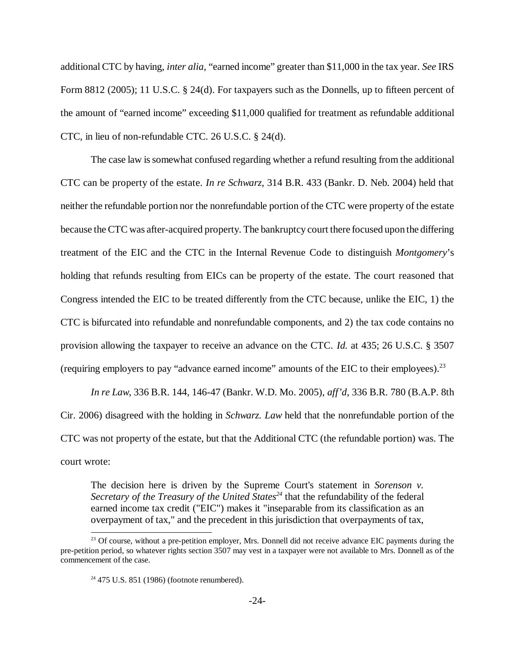additional CTC by having, *inter alia*, "earned income"greater than \$11,000 in the tax year. *See* IRS Form 8812 (2005); 11 U.S.C. § 24(d). For taxpayers such as the Donnells, up to fifteen percent of the amount of "earned income" exceeding \$11,000 qualified for treatment as refundable additional CTC, in lieu of non-refundable CTC. 26 U.S.C. § 24(d).

The case law is somewhat confused regarding whether a refund resulting from the additional CTC can be property of the estate. *In re Schwarz*, 314 B.R. 433 (Bankr. D. Neb. 2004) held that neither the refundable portion nor the nonrefundable portion of the CTC were property of the estate because the CTC was after-acquired property. The bankruptcy court there focused upon the differing treatment of the EIC and the CTC in the Internal Revenue Code to distinguish *Montgomery*'s holding that refunds resulting from EICs can be property of the estate. The court reasoned that Congress intended the EIC to be treated differently from the CTC because, unlike the EIC, 1) the CTC is bifurcated into refundable and nonrefundable components, and 2) the tax code contains no provision allowing the taxpayer to receive an advance on the CTC. *Id.* at 435; 26 U.S.C. § 3507 (requiring employers to pay "advance earned income" amounts of the EIC to their employees).<sup>23</sup>

*In re Law*, 336 B.R. 144, 146-47 (Bankr. W.D. Mo. 2005), *aff'd*, 336 B.R. 780 (B.A.P. 8th Cir. 2006) disagreed with the holding in *Schwarz. Law* held that the nonrefundable portion of the CTC was not property of the estate, but that the Additional CTC (the refundable portion) was. The court wrote:

The decision here is driven by the Supreme Court's statement in *Sorenson v. Secretary of the Treasury of the United States<sup>24</sup>* that the refundability of the federal earned income tax credit ("EIC") makes it "inseparable from its classification as an overpayment of tax," and the precedent in this jurisdiction that overpayments of tax,

<sup>&</sup>lt;sup>23</sup> Of course, without a pre-petition employer, Mrs. Donnell did not receive advance EIC payments during the pre-petition period, so whatever rights section 3507 may vest in a taxpayer were not available to Mrs. Donnell as of the commencement of the case.

 $24$  475 U.S. 851 (1986) (footnote renumbered).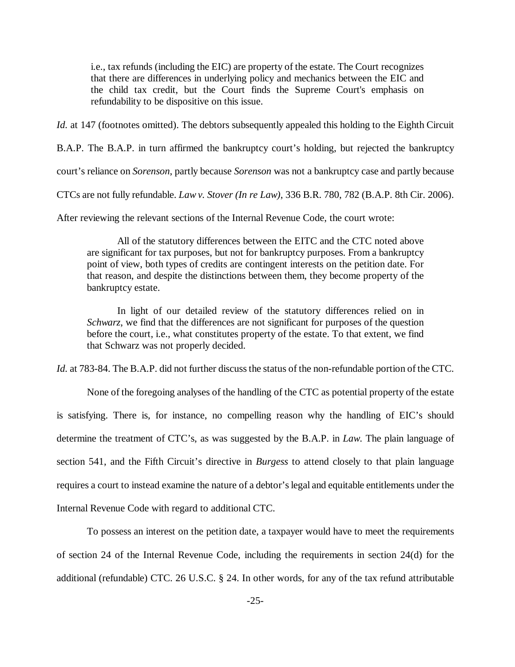i.e., tax refunds (including the EIC) are property of the estate. The Court recognizes that there are differences in underlying policy and mechanics between the EIC and the child tax credit, but the Court finds the Supreme Court's emphasis on refundability to be dispositive on this issue.

*Id.* at 147 (footnotes omitted). The debtors subsequently appealed this holding to the Eighth Circuit

B.A.P. The B.A.P. in turn affirmed the bankruptcy court's holding, but rejected the bankruptcy

court's reliance on *Sorenson*, partly because *Sorenson* was not a bankruptcy case and partly because

CTCs are not fully refundable. *Law v. Stover (In re Law)*, 336 B.R. 780, 782 (B.A.P. 8th Cir. 2006).

After reviewing the relevant sections of the Internal Revenue Code, the court wrote:

All of the statutory differences between the EITC and the CTC noted above are significant for tax purposes, but not for bankruptcy purposes. From a bankruptcy point of view, both types of credits are contingent interests on the petition date. For that reason, and despite the distinctions between them, they become property of the bankruptcy estate.

In light of our detailed review of the statutory differences relied on in *Schwarz*, we find that the differences are not significant for purposes of the question before the court, i.e., what constitutes property of the estate. To that extent, we find that Schwarz was not properly decided.

*Id.* at 783-84. The B.A.P. did not further discuss the status of the non-refundable portion of the CTC.

None of the foregoing analyses of the handling of the CTC as potential property of the estate is satisfying. There is, for instance, no compelling reason why the handling of EIC's should determine the treatment of CTC's, as was suggested by the B.A.P. in *Law*. The plain language of section 541, and the Fifth Circuit's directive in *Burgess* to attend closely to that plain language requires a court to instead examine the nature of a debtor's legal and equitable entitlements under the Internal Revenue Code with regard to additional CTC.

To possess an interest on the petition date, a taxpayer would have to meet the requirements of section 24 of the Internal Revenue Code, including the requirements in section 24(d) for the additional (refundable) CTC. 26 U.S.C. § 24. In other words, for any of the tax refund attributable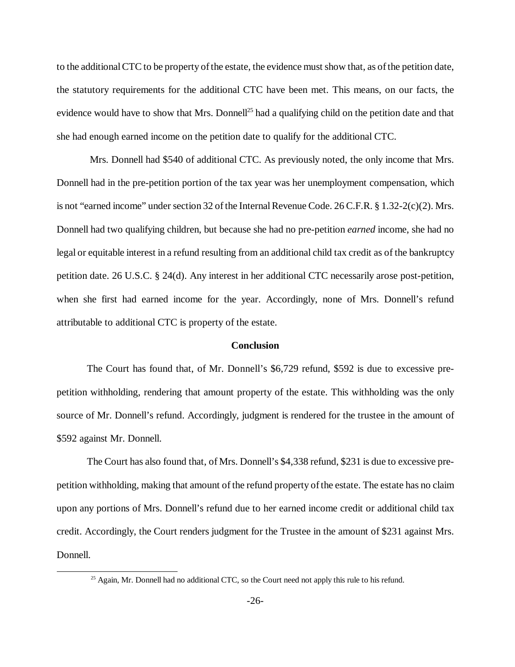to the additional CTC to be property of the estate, the evidence mustshow that, as of the petition date, the statutory requirements for the additional CTC have been met. This means, on our facts, the evidence would have to show that Mrs. Donnell<sup>25</sup> had a qualifying child on the petition date and that she had enough earned income on the petition date to qualify for the additional CTC.

Mrs. Donnell had \$540 of additional CTC. As previously noted, the only income that Mrs. Donnell had in the pre-petition portion of the tax year was her unemployment compensation, which is not "earned income" under section 32 of the Internal Revenue Code.  $26$  C.F.R. § 1.32-2(c)(2). Mrs. Donnell had two qualifying children, but because she had no pre-petition *earned* income, she had no legal or equitable interest in a refund resulting from an additional child tax credit as of the bankruptcy petition date. 26 U.S.C. § 24(d). Any interest in her additional CTC necessarily arose post-petition, when she first had earned income for the year. Accordingly, none of Mrs. Donnell's refund attributable to additional CTC is property of the estate.

#### **Conclusion**

The Court has found that, of Mr. Donnell's \$6,729 refund, \$592 is due to excessive prepetition withholding, rendering that amount property of the estate. This withholding was the only source of Mr. Donnell's refund. Accordingly, judgment is rendered for the trustee in the amount of \$592 against Mr. Donnell.

The Court has also found that, of Mrs. Donnell's \$4,338 refund, \$231 is due to excessive prepetition withholding, making that amount of the refund property of the estate. The estate has no claim upon any portions of Mrs. Donnell's refund due to her earned income credit or additional child tax credit. Accordingly, the Court renders judgment for the Trustee in the amount of \$231 against Mrs. Donnell.

<sup>&</sup>lt;sup>25</sup> Again, Mr. Donnell had no additional CTC, so the Court need not apply this rule to his refund.